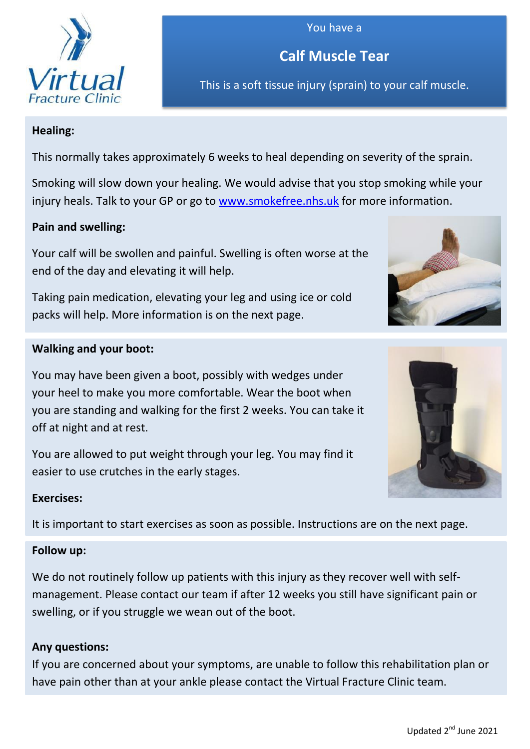

## You have a

**Calf Muscle Tear**

This is a soft tissue injury (sprain) to your calf muscle.

# **Healing:**

This normally takes approximately 6 weeks to heal depending on severity of the sprain.

Smoking will slow down your healing. We would advise that you stop smoking while your injury heals. Talk to your GP or go to [www.smokefree.nhs.uk](http://www.smokefree.nhs.uk/) for more information.

# **Pain and swelling:**

Your calf will be swollen and painful. Swelling is often worse at the end of the day and elevating it will help.

Taking pain medication, elevating your leg and using ice or cold packs will help. More information is on the next page.

# **Walking and your boot:**

You may have been given a boot, possibly with wedges under your heel to make you more comfortable. Wear the boot when you are standing and walking for the first 2 weeks. You can take it off at night and at rest.

You are allowed to put weight through your leg. You may find it easier to use crutches in the early stages.

#### **Exercises:**

It is important to start exercises as soon as possible. Instructions are on the next page.

#### **Follow up:**

We do not routinely follow up patients with this injury as they recover well with selfmanagement. Please contact our team if after 12 weeks you still have significant pain or swelling, or if you struggle we wean out of the boot.

# **Any questions:**

If you are concerned about your symptoms, are unable to follow this rehabilitation plan or have pain other than at your ankle please contact the Virtual Fracture Clinic team.

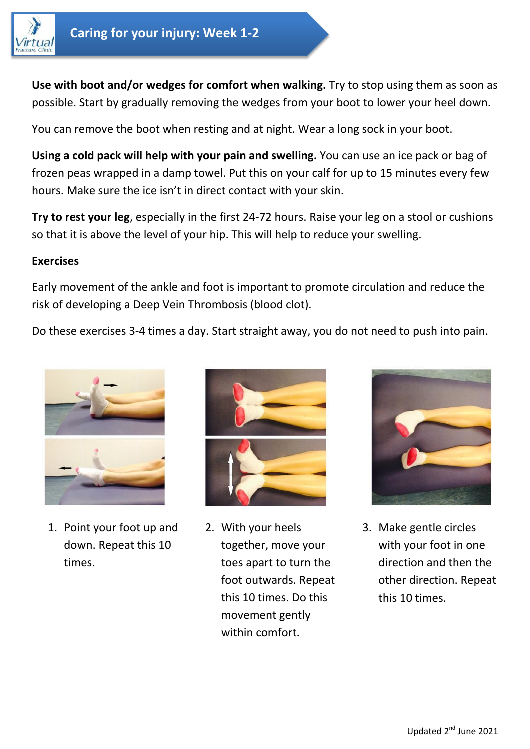

**Use with boot and/or wedges for comfort when walking.** Try to stop using them as soon as possible. Start by gradually removing the wedges from your boot to lower your heel down.

You can remove the boot when resting and at night. Wear a long sock in your boot.

**Using a cold pack will help with your pain and swelling.** You can use an ice pack or bag of frozen peas wrapped in a damp towel. Put this on your calf for up to 15 minutes every few hours. Make sure the ice isn't in direct contact with your skin.

**Try to rest your leg**, especially in the first 24-72 hours. Raise your leg on a stool or cushions so that it is above the level of your hip. This will help to reduce your swelling.

#### **Exercises**

Early movement of the ankle and foot is important to promote circulation and reduce the risk of developing a Deep Vein Thrombosis (blood clot).

Do these exercises 3-4 times a day. Start straight away, you do not need to push into pain.



1. Point your foot up and down. Repeat this 10 times.



2. With your heels together, move your toes apart to turn the foot outwards. Repeat this 10 times. Do this movement gently within comfort.



3. Make gentle circles with your foot in one direction and then the other direction. Repeat this 10 times.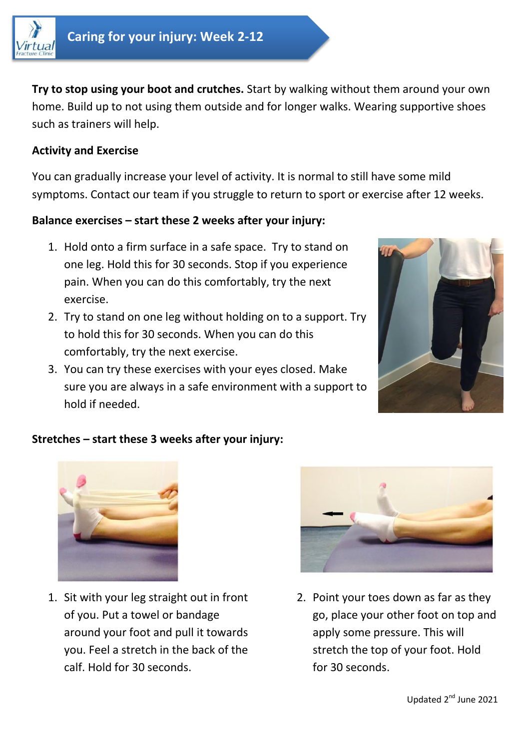

**Try to stop using your boot and crutches.** Start by walking without them around your own home. Build up to not using them outside and for longer walks. Wearing supportive shoes such as trainers will help.

## **Activity and Exercise**

You can gradually increase your level of activity. It is normal to still have some mild symptoms. Contact our team if you struggle to return to sport or exercise after 12 weeks.

## **Balance exercises – start these 2 weeks after your injury:**

- 1. Hold onto a firm surface in a safe space. Try to stand on one leg. Hold this for 30 seconds. Stop if you experience pain. When you can do this comfortably, try the next exercise.
- 2. Try to stand on one leg without holding on to a support. Try to hold this for 30 seconds. When you can do this comfortably, try the next exercise.
- 3. You can try these exercises with your eyes closed. Make sure you are always in a safe environment with a support to hold if needed.



# **Stretches – start these 3 weeks after your injury:**



1. Sit with your leg straight out in front of you. Put a towel or bandage around your foot and pull it towards you. Feel a stretch in the back of the calf. Hold for 30 seconds.



2. Point your toes down as far as they go, place your other foot on top and apply some pressure. This will stretch the top of your foot. Hold for 30 seconds.